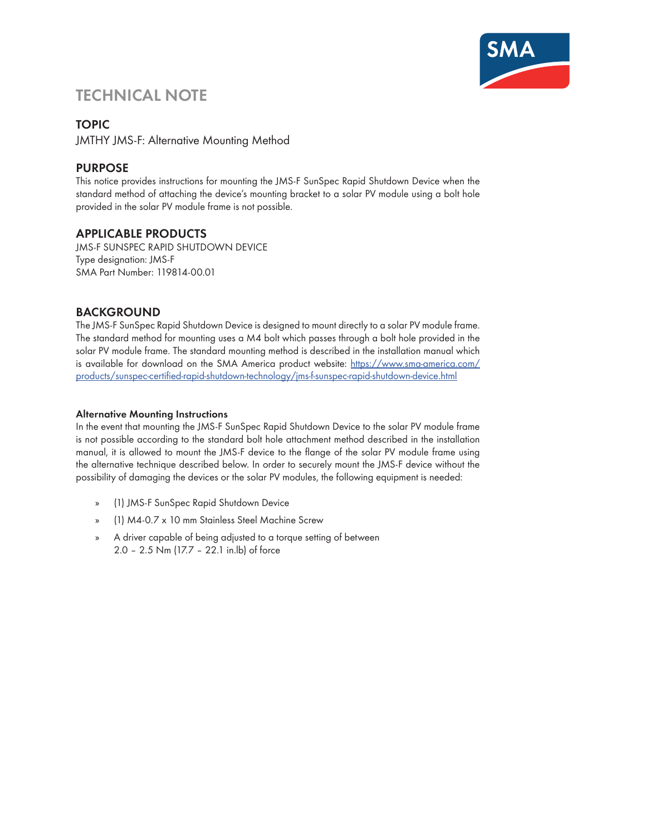

# **TECHNICAL NOTE**

# **TOPIC**

JMTHY JMS-F: Alternative Mounting Method

# **PURPOSE**

This notice provides instructions for mounting the JMS-F SunSpec Rapid Shutdown Device when the standard method of attaching the device's mounting bracket to a solar PV module using a bolt hole provided in the solar PV module frame is not possible.

# **APPLICABLE PRODUCTS**

JMS-F SUNSPEC RAPID SHUTDOWN DEVICE Type designation: JMS-F SMA Part Number: 119814-00.01

## **BACKGROUND**

The JMS-F SunSpec Rapid Shutdown Device is designed to mount directly to a solar PV module frame. The standard method for mounting uses a M4 bolt which passes through a bolt hole provided in the solar PV module frame. The standard mounting method is described in the installation manual which is available for download on the SMA America product website: [https://www.sma-america.com/](https://www.sma-america.com/products/sunspec-certified-rapid-shutdown-technology/jms-f-sunspec-rapid-shutdown-device.html) [products/sunspec-certified-rapid-shutdown-technology/jms-f-sunspec-rapid-shutdown-device.html](https://www.sma-america.com/products/sunspec-certified-rapid-shutdown-technology/jms-f-sunspec-rapid-shutdown-device.html)

### **Alternative Mounting Instructions**

In the event that mounting the JMS-F SunSpec Rapid Shutdown Device to the solar PV module frame is not possible according to the standard bolt hole attachment method described in the installation manual, it is allowed to mount the JMS-F device to the flange of the solar PV module frame using the alternative technique described below. In order to securely mount the JMS-F device without the possibility of damaging the devices or the solar PV modules, the following equipment is needed:

- » (1) JMS-F SunSpec Rapid Shutdown Device
- » (1) M4-0.7 x 10 mm Stainless Steel Machine Screw
- » A driver capable of being adjusted to a torque setting of between 2.0 – 2.5 Nm (17.7 – 22.1 in.lb) of force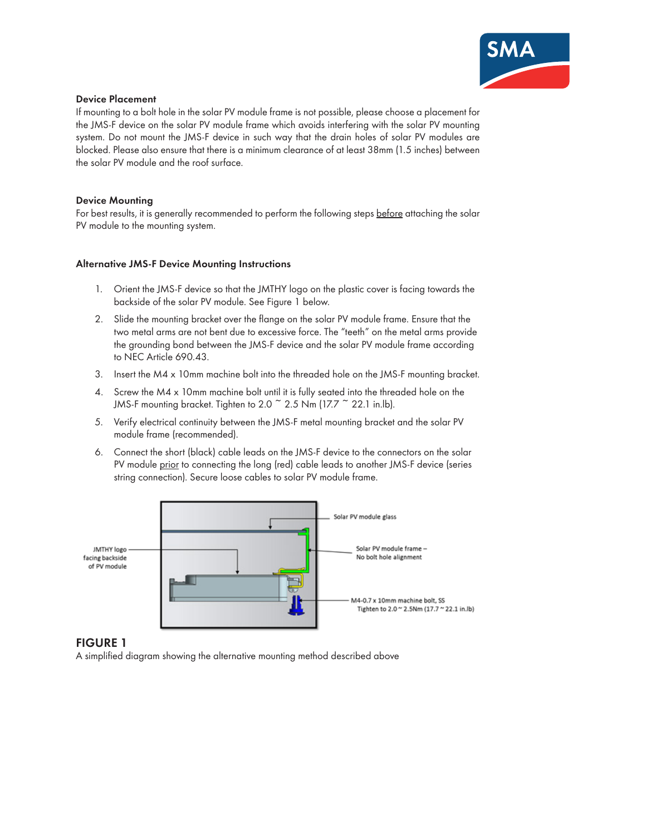

#### **Device Placement**

If mounting to a bolt hole in the solar PV module frame is not possible, please choose a placement for the JMS-F device on the solar PV module frame which avoids interfering with the solar PV mounting system. Do not mount the JMS-F device in such way that the drain holes of solar PV modules are blocked. Please also ensure that there is a minimum clearance of at least 38mm (1.5 inches) between the solar PV module and the roof surface.

#### **Device Mounting**

For best results, it is generally recommended to perform the following steps before attaching the solar PV module to the mounting system.

#### **Alternative JMS-F Device Mounting Instructions**

- 1. Orient the JMS-F device so that the JMTHY logo on the plastic cover is facing towards the backside of the solar PV module. See Figure 1 below.
- 2. Slide the mounting bracket over the flange on the solar PV module frame. Ensure that the two metal arms are not bent due to excessive force. The "teeth" on the metal arms provide the grounding bond between the JMS-F device and the solar PV module frame according to NEC Article 690.43.
- 3. Insert the M4 x 10mm machine bolt into the threaded hole on the JMS-F mounting bracket.
- 4. Screw the M4 x 10mm machine bolt until it is fully seated into the threaded hole on the JMS-F mounting bracket. Tighten to 2.0  $\degree$  2.5 Nm (17.7  $\degree$  22.1 in.lb).
- 5. Verify electrical continuity between the JMS-F metal mounting bracket and the solar PV module frame (recommended).
- 6. Connect the short (black) cable leads on the JMS-F device to the connectors on the solar PV module prior to connecting the long (red) cable leads to another JMS-F device (series string connection). Secure loose cables to solar PV module frame.



### **FIGURE 1**

A simplified diagram showing the alternative mounting method described above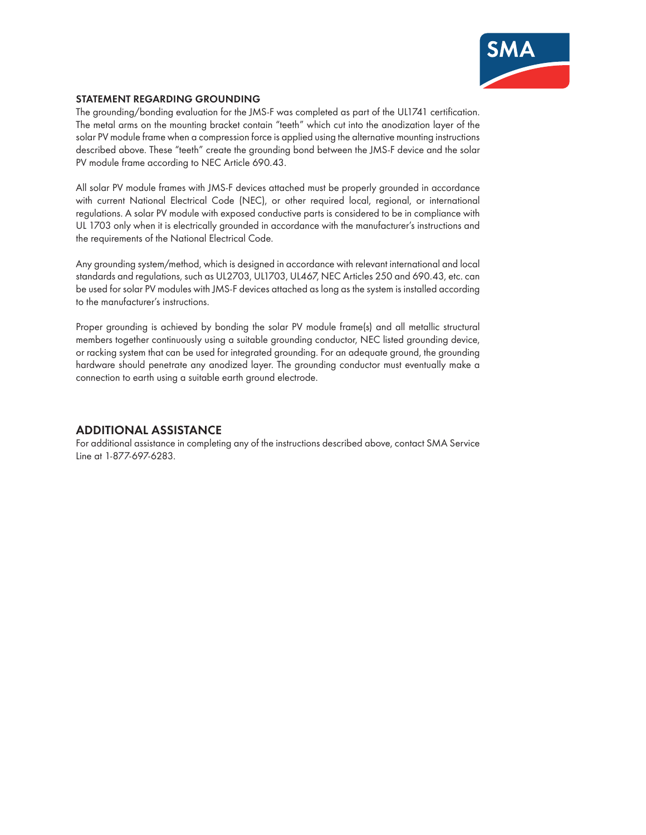

#### **STATEMENT REGARDING GROUNDING**

The grounding/bonding evaluation for the JMS-F was completed as part of the UL1741 certification. The metal arms on the mounting bracket contain "teeth" which cut into the anodization layer of the solar PV module frame when a compression force is applied using the alternative mounting instructions described above. These "teeth" create the grounding bond between the JMS-F device and the solar PV module frame according to NEC Article 690.43.

All solar PV module frames with JMS-F devices attached must be properly grounded in accordance with current National Electrical Code (NEC), or other required local, regional, or international regulations. A solar PV module with exposed conductive parts is considered to be in compliance with UL 1703 only when it is electrically grounded in accordance with the manufacturer's instructions and the requirements of the National Electrical Code.

Any grounding system/method, which is designed in accordance with relevant international and local standards and regulations, such as UL2703, UL1703, UL467, NEC Articles 250 and 690.43, etc. can be used for solar PV modules with JMS-F devices attached as long as the system is installed according to the manufacturer's instructions.

Proper grounding is achieved by bonding the solar PV module frame(s) and all metallic structural members together continuously using a suitable grounding conductor, NEC listed grounding device, or racking system that can be used for integrated grounding. For an adequate ground, the grounding hardware should penetrate any anodized layer. The grounding conductor must eventually make a connection to earth using a suitable earth ground electrode.

### **ADDITIONAL ASSISTANCE**

For additional assistance in completing any of the instructions described above, contact SMA Service Line at 1-877-697-6283.